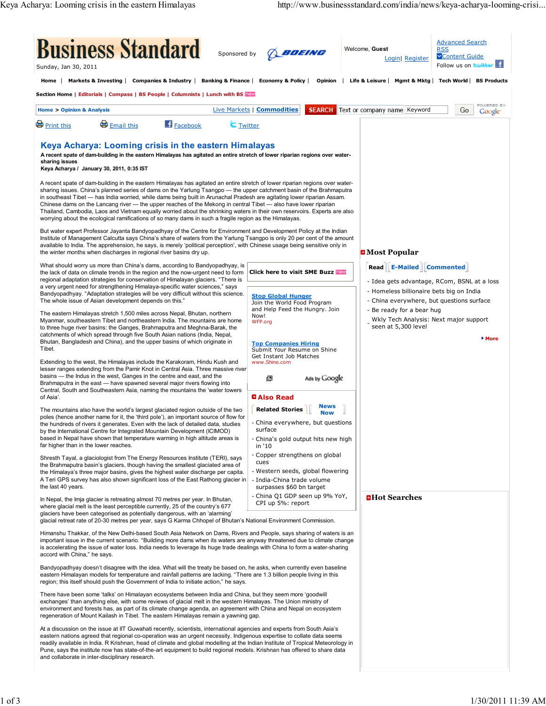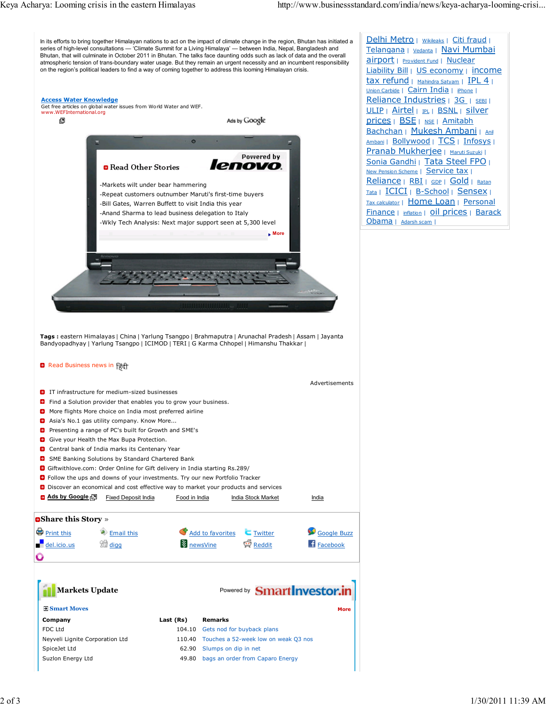

- **G** Give your Health the Max Bupa Protection.
- **C** Central bank of India marks its Centenary Year
- **D** SME Banking Solutions by Standard Chartered Bank
- Giftwithlove.com: Order Online for Gift delivery in India starting Rs.289/
- **C** Follow the ups and downs of your investments. Try our new Portfolio Tracker
- **D** Discover an economical and cost effective way to market your products and services



| <b>Markets Update</b>           |           | Powered by <b>Smart Investor.in</b>         |  |  |  |
|---------------------------------|-----------|---------------------------------------------|--|--|--|
| <b>B</b> Smart Moves            |           | <b>More</b>                                 |  |  |  |
| Company                         | Last (Rs) | <b>Remarks</b>                              |  |  |  |
| FDC Ltd                         | 104.10    | Gets nod for buyback plans                  |  |  |  |
| Neyveli Lignite Corporation Ltd |           | 110.40 Touches a 52-week low on weak Q3 nos |  |  |  |
| SpiceJet Ltd                    | 62.90     | Slumps on dip in net                        |  |  |  |
| Suzlon Energy Ltd               | 49.80     | bags an order from Caparo Energy            |  |  |  |
|                                 |           |                                             |  |  |  |

Delhi Metro | Wikileaks | Citi fraud | Telangana | Vedanta | Navi Mumbai airport | Provident Fund | Nuclear Liability Bill | US economy | income tax refund | Mahindra Satyam | IPL 4 | Union Carbide | Cairn India | iPhone | Reliance Industries | 3G | SEBI | ULIP | Airtel | PL | BSNL | Silver prices | BSE | NSE | Amitabh Bachchan | Mukesh Ambani | Anil Ambani | Bollywood | TCS | Infosys | Pranab Mukherjee | Maruti Suzuki | Sonia Gandhi | Tata Steel FPO | New Pension Scheme | Service tax | Reliance | RBI | GDP | Gold | Ratan Tata | ICICI | B-School | Sensex | Tax calculator | Home Loan | Personal Finance | inflation | **Oil prices** | Barack Obama | Adarsh scam |